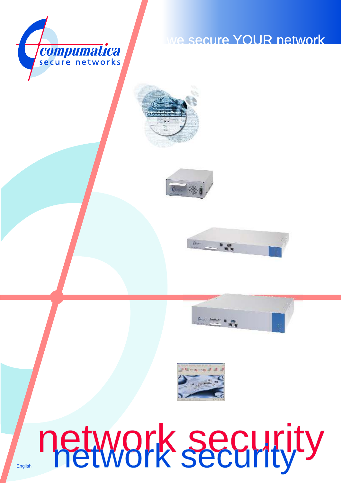

## we secure YOUR network









# network security **English network security**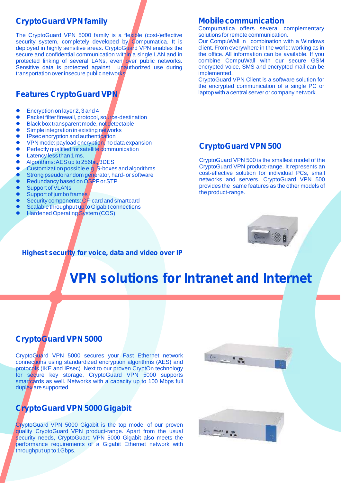#### **CryptoGuard VPN family**

The CryptoGuard VPN 5000 family is a flexible (cost-)effective security system, completely developed by Compumatica. It is deployed in highly sensitive areas. CryptoGuard VPN enables the secure and confidential communication within a single LAN and in protected linking of several LANs, even over public networks. Sensitive data is protected against unauthorized use during transportation over insecure public networks.

#### **Features CryptoGuard VPN**

- Encryption on layer 2, 3 and 4
- Packet filter firewall, protocol, source-destination
- **•** Black box transparent mode, not detectable
- **•** Simple integration in existing networks
- **•** IPsec encryption and authentication
- VPN mode: payload encryption, no data expansion
- Perfectly qualified for satellite communication
- Latency less than 1 ms.
- Algorithms: AES up to 256bit, 3DES
- **Customization possible e.g. S-boxes and algorithms**
- **.** Strong pseudo random generator, hard- or software
- Redundancy based on OSPF or STP
- Support of VLANs
- Support of jumbo frames
- Security components: CF-card and smartcard
- Scalable throughput up to Gigabit connections
- **•** Hardened Operating System (COS)

#### **Mobile communication**

Compumatica offers several complementary solutions for remote communication.

Our CompuWall in combination with a Windows client. From everywhere in the world: working as in the office. All information can be available. If you combine CompuWall with our secure GSM encrypted voice, SMS and encrypted mail can be implemented.

CryptoGuard VPN Client is a software solution for the encrypted communication of a single PC or laptop with a central server or company network.

#### **CryptoGuard VPN 500**

CryptoGuard VPN 500 is the smallest model of the CryptoGuard VPN product-range. It represents an cost-effective solution for individual PCs, small networks and servers. CryptoGuard VPN 500 provides the same features as the other models of the product-range.



#### **Highest security for voice, data and video over IP**

# **VPN solutions for Intranet and Internet**

#### **CryptoGuard VPN 5000**

CryptoGuard VPN 5000 secures your Fast Ethernet network connections using standardized encryption algorithms (AES) and protocols (IKE and IPsec). Next to our proven CryptOn technology for secure key storage, CryptoGuard VPN 5000 supports smartcards as well. Networks with a capacity up to 100 Mbps full duplex are supported.

#### **CryptoGuard VPN 5000 Gigabit**

CryptoGuard VPN 5000 Gigabit is the top model of our proven quality CryptoGuard VPN product-range. Apart from the usual security needs, CryptoGuard VPN 5000 Gigabit also meets the performance requirements of a Gigabit Ethernet network with throughput up to 1Gbps.



 $6 - 15$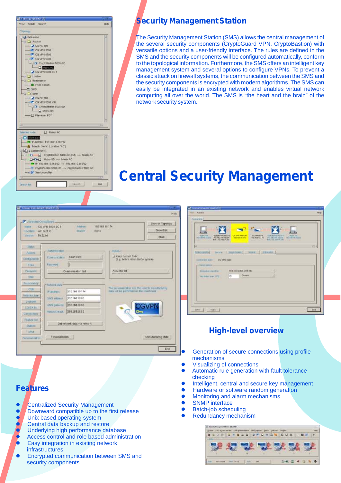

#### **Security Management Station**

The Security Management Station (SMS) allows the central management of the several security components (CryptoGuard VPN, CryptoBastion) with versatile options and a user-friendly interface. The rules are defined in the SMS and the security components will be configured automatically, conform to the topological information. Furthermore, the SMS offers an intelligent key management system and several options to configure VPNs. To prevent a classic attack on firewall systems, the communication between the SMS and the security components is encrypted with modern algorithms. The SMS can easily be integrated in an existing network and enables virtual network computing all over the world. The SMS is "the heart and the brain" of the network security system.

# **Central Security Management**

Help K.

End

| Detected Cuptoboard<br><b>Kissan</b><br>Location<br>Viersings 1 | CG VPN 5000 SC 1<br>AC dept. C<br>54.22.01 | Atthurs<br><b>Briench</b><br><b>NONE</b> | 19215870174                                           | Show in Topolog<br>Show-Edit<br>Shell                   |
|-----------------------------------------------------------------|--------------------------------------------|------------------------------------------|-------------------------------------------------------|---------------------------------------------------------|
| 3.EMAR                                                          |                                            |                                          |                                                       |                                                         |
| Artions                                                         | -Automication-                             |                                          | Cyronne <sup>+</sup>                                  |                                                         |
| Containing                                                      | Communication                              | <b>Beat rand</b>                         | J Keep current SMK<br>(0.g) active redundancy system) |                                                         |
| 平顶压                                                             | <b>Farmont</b>                             |                                          |                                                       |                                                         |
| Pásyvoné                                                        |                                            | Communication feet                       | AES 256 Ert                                           |                                                         |
| <b>HOUR</b>                                                     |                                            |                                          |                                                       |                                                         |
| <b>Restundantly</b>                                             | -Natural max-                              |                                          |                                                       |                                                         |
| <b>CTR</b>                                                      | in admires                                 | 192.168.10.174                           | shifts lost be performed on the need that I           | The personalization and the recent in systematic furing |
| International                                                   |                                            | 192.188.10.82                            |                                                       |                                                         |
| Legitors.                                                       | SMITLAUTINU                                |                                          |                                                       |                                                         |
| CO/SA list                                                      | <b>UMIL DIRINING</b>                       | 192108.1082                              |                                                       | CGVPN                                                   |
| Connections                                                     | <b>FURNISH HUGH</b>                        | 255 255 255 B                            |                                                       |                                                         |
| <b>Fasture nat</b>                                              |                                            |                                          |                                                       |                                                         |
| SNILLE                                                          |                                            | Get network data via network.            |                                                       |                                                         |

|                                          | <b>CONTRACTOR</b>                                                                         |
|------------------------------------------|-------------------------------------------------------------------------------------------|
|                                          | COVERS SOLD<br>THE ENGINEERING SERVICE<br><b>CONTRACTOR DE LA CONSTANTIA DE MONSIEURE</b> |
|                                          |                                                                                           |
| <b>FULLILLAURA E</b>                     | local Suprimes   Smooth Streets                                                           |
| Eignester aussi CG 171 hose              |                                                                                           |
| Carri Edition                            |                                                                                           |
| Impound rental                           | AES ANTIQUOI LITH EIG.                                                                    |
| Net Jeller (max. 1972)<br><b>STERNIK</b> | <b>Conset</b><br><b>O</b>                                                                 |

#### **High-level overview**

- Generation of secure connections using profile mechanisms
- **Visualizing of connections**
- **Automatic rule generation with fault tolerance** checking
- Intelligent, central and secure key management
- **Hardware or software random generation**
- **•** Monitoring and alarm mechanisms
- SNMP interface
- **•** Batch-job scheduling
- Redundancy mechanism

| 4 年 4 日 年 |    | 日の通り | 12 13 | an-<br>1947 |
|-----------|----|------|-------|-------------|
|           |    |      |       |             |
|           | 18 |      |       |             |

#### **Features**

- **Centralized Security Management**
- $\bullet$  Downward compatible up to the first release
- $\bullet$  Unix based operating system
- **C** Central data backup and restore
- **Inderlying high performance database**
- **P** Access control and role based administration **•** Easy integration in existing network infrastructures
- Encrypted communication between SMS and security components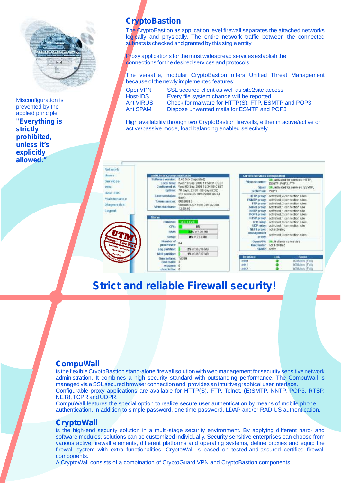

Misconfiguration is prevented by the applied principle

*"Everything is strictly prohibited, unless it's explicitly allowed."*

### **CryptoBastion**

The CryptoBastion as application level firewall separates the attached networks logically and physically. The entire network traffic between the connected subnets is checked and granted by this single entity.

Proxy applications for the most widespread services establish the connections for the desired services and protocols.

The versatile, modular CryptoBastion offers Unified Threat Management because of the newly implemented features:

**Notwork** u  $\overline{R}$ Ŵ  $\mathbf{R}$  $\mathbb{N}$ 

OpenVPN SSL secured client as well as site2site access Host-IDS Every file system change will be reported AntiVIRUS Check for malware for HTTP(S), FTP, ESMTP and POP3 AntiSPAM Dispose unwanted mails for ESMTP and POP3

High availability through two CryptoBastion firewalls, either in active/active or active/passive mode, load balancing enabled selectively.

| SEIT'S                                  | gw01.intern.compumatica.de                                        |                                                                                                                                                        | Current services configuration               |                                                                                                                                                                                                                              |
|-----------------------------------------|-------------------------------------------------------------------|--------------------------------------------------------------------------------------------------------------------------------------------------------|----------------------------------------------|------------------------------------------------------------------------------------------------------------------------------------------------------------------------------------------------------------------------------|
| ervices<br><b>IN</b><br>ost-IDS         | Configured at:<br><b>Upfärtnir:</b>                               | Seftware version: 5.40.0 (+ 2 updated)<br>Local time: Wed 10 Sep 2008 14:50:31 CEST<br>Wed 03 Sep 2008 13:34:08 CEST<br>70 days, 23:50 (69 days, 6:32) | Virus scanner:<br>Sauten<br>protection: POP3 | Ok. activated for services: HTTP,<br>ESMTP, POP3, FTP<br>Ok. activated for services: ESMTP.                                                                                                                                  |
| laintenance<br>iagnostics<br>bgout      | License status:<br>Token number:<br>Virus database:               | will expire on 10/14/2008 (in 34<br>$d$ avs).<br>00000015<br>Version 8207 from 09/10/2008<br>12:58:40                                                  |                                              | HTTP proxy: activated, 4 connection rules<br>ESMIP prong activated: 4 connection rules<br>FTP proxy: activated: 2 connection rules<br>Telnet proop: activated, 1 connection rule<br>NNTP proxy: activated, 1 connection rule |
|                                         | <b>Status</b>                                                     |                                                                                                                                                        |                                              | POP3 proxy: activated, 2 connection rules.<br>RTSP proxy: activated: 1 connection rule                                                                                                                                       |
|                                         | <b>Flunkoval:</b>                                                 | <b>ACTIVE</b>                                                                                                                                          |                                              | TCP relay: activated, 9 connection rules                                                                                                                                                                                     |
|                                         | CPLE                                                              | 8%                                                                                                                                                     |                                              | UDP relay: activated; 1 connection rule                                                                                                                                                                                      |
|                                         | <b>FLAM:</b>                                                      | <b>33% of 499 MB</b>                                                                                                                                   | Management                                   | NETD proxing inclusionsted                                                                                                                                                                                                   |
|                                         | <b>SMAK</b>                                                       | 0% of 753 MB                                                                                                                                           | press;                                       | activated. 3 connection rules                                                                                                                                                                                                |
| ony - Firebran<br><b>GATRIS CHATELE</b> | Nomber of<br><b>DFOCESSER:</b>                                    | 84                                                                                                                                                     | <b>HA/Chister:</b>                           | OpenVPN: Ok, B clients connected<br>not activated                                                                                                                                                                            |
| <b>PROSEN</b>                           | smiliting go 3                                                    | 2% of 36816 MB                                                                                                                                         |                                              | SNMP: active                                                                                                                                                                                                                 |
| <b>Entrance</b>                         | Mail partition:                                                   | 1% of 36817 MB                                                                                                                                         |                                              |                                                                                                                                                                                                                              |
| <b>Service 15</b>                       | Quarantage<br><b>Bad malls:</b><br>manuelle 0<br>stand to their O | 15369                                                                                                                                                  | Interface<br>oth0<br>ath1<br>e <sub>th</sub> | Link<br>Speed.<br>100Mb/s (Fult)<br>t00Mb/s (Fulf)<br>100Mb/s (Fulfi                                                                                                                                                         |

### **Strict and reliable Firewall security!**

#### **CompuWall**

is the flexible CryptoBastion stand-alone firewall solution with web management for security sensitive network administration. It combines a high security standard with outstanding performance. The CompuWall is managed via a SSLsecured browser connection and provides an intuitive graphical user interface. Configurable proxy applications are available for HTTP(S), FTP, Telnet, (E)SMTP, NNTP, POP3, RTSP, NET8, TCPR and UDPR.

CompuWall features the special option to realize secure user authentication by means of mobile phone authentication, in addition to simple password, one time password, LDAP and/or RADIUS authentication.

#### **CryptoWall**

is the high-end security solution in a multi-stage security environment. By applying different hard- and software modules, solutions can be customized individually. Security sensitive enterprises can choose from various active firewall elements, different platforms and operating systems, define proxies and equip the firewall system with extra functionalities. CryptoWall is based on tested-and-assured certified firewall components.

A CryptoWall consists of a combination of CryptoGuard VPN and CryptoBastion components.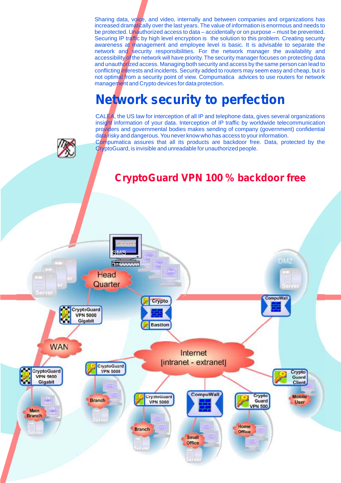Sharing data, voice, and video, internally and between companies and organizations has increased dramatically over the last years. The value of information is enormous and needs to be protected. Unauthorized access to data – accidentally or on purpose – must be prevented. Securing IP traffic by high level encryption is the solution to this problem. Creating security awareness at management and employee level is basic. It is advisable to separate the network and security responsibilities. For the network manager the availability and accessibility of the network will have priority. The security manager focuses on protecting data and unauthorized access. Managing both security and access by the same person can lead to conflicting interests and incidents. Security added to routers may seem easy and cheap, but is not optimal from a security point of view. Compumatica advices to use routers for network management and Crypto devices for data protection.

# **Network security to perfection**

CALEA, the US law for interception of all IP and telephone data, gives several organizations insight information of your data. Interception of IP traffic by worldwide telecommunication providers and governmental bodies makes sending of company (government) confidential data risky and dangerous. You never know who has access to your information.

Compumatica assures that all its products are backdoor free. Data, protected by the CryptoGuard, is invisible and unreadable for unauthorized people.

### **CryptoGuard VPN 100 % backdoor free**